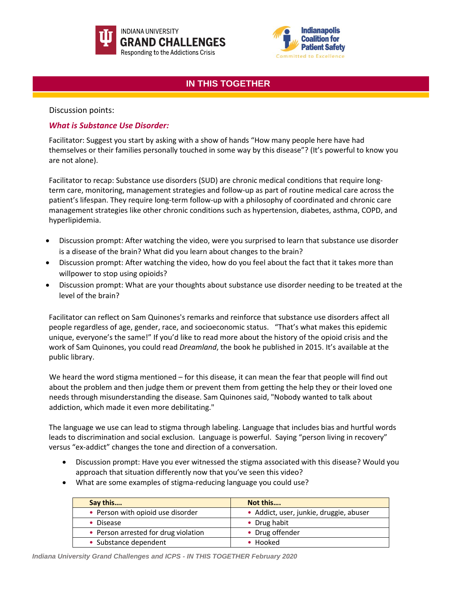



# **IN THIS TOGETHER**

Discussion points:

# *What is Substance Use Disorder:*

Facilitator: Suggest you start by asking with a show of hands "How many people here have had themselves or their families personally touched in some way by this disease"? (It's powerful to know you are not alone).

Facilitator to recap: Substance use disorders (SUD) are chronic medical conditions that require longterm care, monitoring, management strategies and follow-up as part of routine medical care across the patient's lifespan. They require long-term follow-up with a philosophy of coordinated and chronic care management strategies like other chronic conditions such as hypertension, diabetes, asthma, COPD, and hyperlipidemia.

- Discussion prompt: After watching the video, were you surprised to learn that substance use disorder is a disease of the brain? What did you learn about changes to the brain?
- Discussion prompt: After watching the video, how do you feel about the fact that it takes more than willpower to stop using opioids?
- Discussion prompt: What are your thoughts about substance use disorder needing to be treated at the level of the brain?

Facilitator can reflect on Sam Quinones's remarks and reinforce that substance use disorders affect all people regardless of age, gender, race, and socioeconomic status. "That's what makes this epidemic unique, everyone's the same!" If you'd like to read more about the history of the opioid crisis and the work of Sam Quinones, you could read *Dreamland*, the book he published in 2015. It's available at the public library.

We heard the word stigma mentioned – for this disease, it can mean the fear that people will find out about the problem and then judge them or prevent them from getting the help they or their loved one needs through misunderstanding the disease. Sam Quinones said, "Nobody wanted to talk about addiction, which made it even more debilitating."

The language we use can lead to stigma through labeling. Language that includes bias and hurtful words leads to discrimination and social exclusion. Language is powerful. Saying "person living in recovery" versus "ex-addict" changes the tone and direction of a conversation.

- Discussion prompt: Have you ever witnessed the stigma associated with this disease? Would you approach that situation differently now that you've seen this video?
- What are some examples of stigma-reducing language you could use?

| Say this                             | Not this                                |
|--------------------------------------|-----------------------------------------|
| • Person with opioid use disorder    | · Addict, user, junkie, druggie, abuser |
| • Disease                            | • Drug habit                            |
| • Person arrested for drug violation | • Drug offender                         |
| • Substance dependent                | • Hooked                                |

*Indiana University Grand Challenges and ICPS - IN THIS TOGETHER February 2020*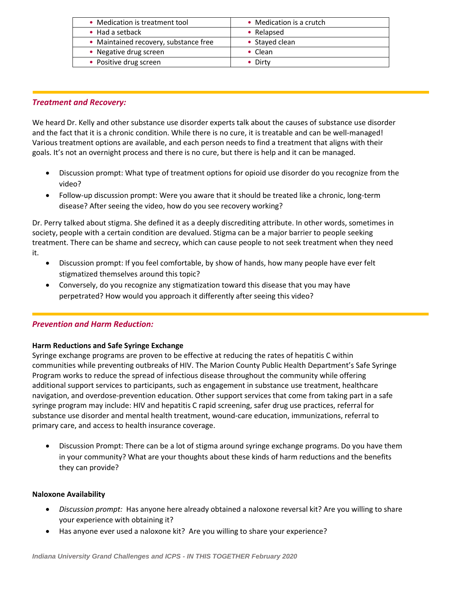| • Medication is treatment tool        | • Medication is a crutch |
|---------------------------------------|--------------------------|
| $\bullet$ Had a setback               | • Relapsed               |
| • Maintained recovery, substance free | • Stayed clean           |
| • Negative drug screen                | $\bullet$ Clean          |
| • Positive drug screen                | $\bullet$ Dirty          |

### *Treatment and Recovery:*

We heard Dr. Kelly and other substance use disorder experts talk about the causes of substance use disorder and the fact that it is a chronic condition. While there is no cure, it is treatable and can be well-managed! Various treatment options are available, and each person needs to find a treatment that aligns with their goals. It's not an overnight process and there is no cure, but there is help and it can be managed.

- Discussion prompt: What type of treatment options for opioid use disorder do you recognize from the video?
- Follow-up discussion prompt: Were you aware that it should be treated like a chronic, long-term disease? After seeing the video, how do you see recovery working?

Dr. Perry talked about stigma. She defined it as a deeply discrediting attribute. In other words, sometimes in society, people with a certain condition are devalued. Stigma can be a major barrier to people seeking treatment. There can be shame and secrecy, which can cause people to not seek treatment when they need it.

- Discussion prompt: If you feel comfortable, by show of hands, how many people have ever felt stigmatized themselves around this topic?
- Conversely, do you recognize any stigmatization toward this disease that you may have perpetrated? How would you approach it differently after seeing this video?

# *Prevention and Harm Reduction:*

#### **Harm Reductions and Safe Syringe Exchange**

Syringe exchange programs are proven to be effective at reducing the rates of hepatitis C within communities while preventing outbreaks of HIV. The Marion County Public Health Department's Safe Syringe Program works to reduce the spread of infectious disease throughout the community while offering additional support services to participants, such as engagement in substance use treatment, healthcare navigation, and overdose-prevention education. Other support services that come from taking part in a safe syringe program may include: HIV and hepatitis C rapid screening, safer drug use practices, referral for substance use disorder and mental health treatment, wound-care education, immunizations, referral to primary care, and access to health insurance coverage.

• Discussion Prompt: There can be a lot of stigma around syringe exchange programs. Do you have them in your community? What are your thoughts about these kinds of harm reductions and the benefits they can provide?

#### **Naloxone Availability**

- *Discussion prompt:* Has anyone here already obtained a naloxone reversal kit? Are you willing to share your experience with obtaining it?
- Has anyone ever used a naloxone kit? Are you willing to share your experience?